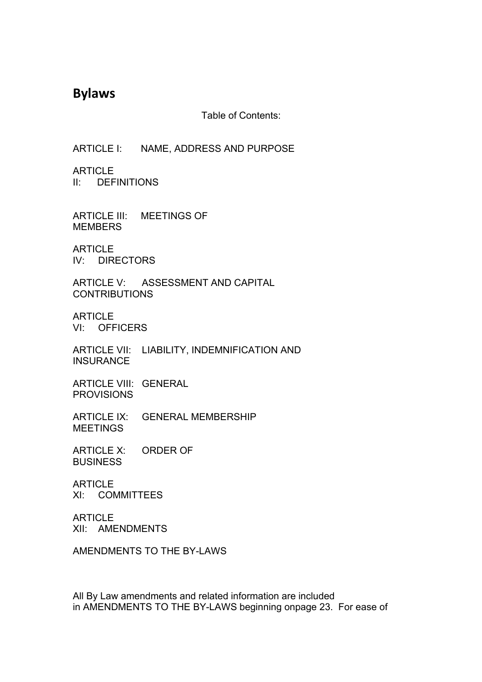# **Bylaws**

Table of Contents:

ARTICLE I: NAME, ADDRESS AND PURPOSE

**ARTICLE** II: DEFINITIONS

ARTICLE III: MEETINGS OF **MEMBERS** 

**ARTICLE** IV: DIRECTORS

ARTICLE V: ASSESSMENT AND CAPITAL **CONTRIBUTIONS** 

**ARTICLE** VI: OFFICERS

ARTICLE VII: LIABILITY, INDEMNIFICATION AND INSURANCE

ARTICLE VIII: GENERAL **PROVISIONS** 

ARTICLE IX: GENERAL MEMBERSHIP MEETINGS

ARTICLE X: ORDER OF **BUSINESS** 

**ARTICLE** XI: COMMITTEES

ARTICLE XII: AMENDMENTS

AMENDMENTS TO THE BY-LAWS

All By Law amendments and related information are included in AMENDMENTS TO THE BY-LAWS beginning onpage 23.For ease of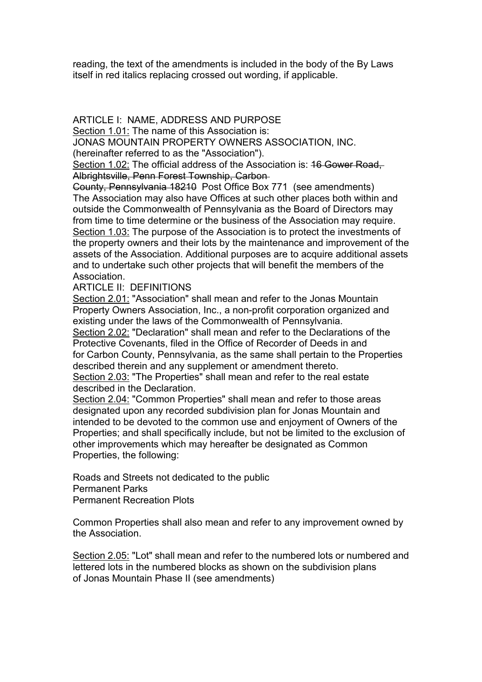reading, the text of the amendments is included in the body of the By Laws itself in red italics replacing crossed out wording, if applicable.

### ARTICLE I: NAME, ADDRESS AND PURPOSE

Section 1.01: The name of this Association is:

JONAS MOUNTAIN PROPERTY OWNERS ASSOCIATION,INC.

(hereinafter referred to as the "Association").

Section 1.02: The official address of the Association is: 16 Gower Road, Albrightsville, Penn Forest Township, Carbon

County, Pennsylvania 18210 Post Office Box 771 (see amendments) The Association may also have Offices at such other places both within and outside the Commonwealth of Pennsylvania as the Board of Directors may from time to time determine or the business of the Association may require. Section 1.03: The purpose of the Association is to protect the investments of the property owners and their lots by the maintenance and improvement of the assets of the Association. Additional purposes are to acquire additional assets and to undertake such other projects that will benefit the members of the Association.

### ARTICLE II: DEFINITIONS

Section 2.01: "Association" shall mean and refer to the Jonas Mountain Property Owners Association, Inc., a non-profit corporation organized and existing under the laws of the Commonwealth of Pennsylvania.

Section 2.02: "Declaration" shall mean and refer to the Declarations of the Protective Covenants, filed in the Office of Recorder of Deeds in and for Carbon County, Pennsylvania, as the same shall pertain to the Properties described therein and any supplement or amendment thereto.

Section 2.03: "The Properties" shall mean and refer to the real estate described in the Declaration.

Section 2.04: "Common Properties" shall mean and refer to those areas designated upon any recorded subdivision plan for Jonas Mountain and intended to be devoted to the common use and enjoyment of Owners of the Properties; and shall specifically include, but not be limited to the exclusion of other improvements which may hereafter be designated as Common Properties, the following:

Roads and Streets not dedicated to the public Permanent Parks Permanent Recreation Plots

Common Properties shall also mean and refer to any improvement owned by the Association.

Section 2.05: "Lot" shall mean and refer to the numbered lots or numbered and lettered lots in the numbered blocks as shown on the subdivision plans of Jonas Mountain Phase II (see amendments)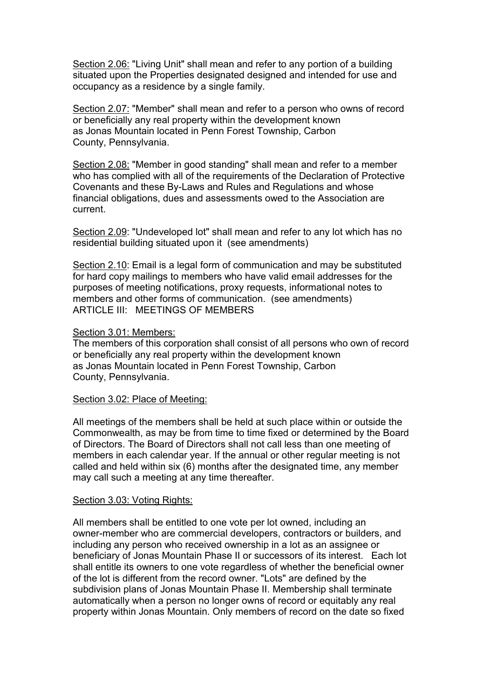Section 2.06: "Living Unit" shall mean and refer to any portion of a building situated upon the Properties designated designed and intended for use and occupancy as a residence by a single family.

Section 2.07: "Member" shall mean and refer to a person who owns of record or beneficially any real property within the development known as Jonas Mountain located in Penn Forest Township, Carbon County, Pennsylvania.

Section 2.08: "Member in good standing" shall mean and refer to a member who has complied with all of the requirements of the Declaration of Protective Covenants and these By-Laws and Rules and Regulations and whose financial obligations, dues and assessments owed to the Association are current.

Section 2.09: "Undeveloped lot" shall mean and refer to any lot which has no residential building situated upon it (see amendments)

Section 2.10: Email is a legal form of communication and may be substituted for hard copy mailings to members who have valid email addresses for the purposes of meeting notifications, proxy requests, informational notes to members and other forms of communication. (see amendments) ARTICLE III: MEETINGS OF MEMBERS

### Section 3.01: Members:

The members of this corporation shall consist of all persons who own of record or beneficially any real property within the development known as Jonas Mountain located in Penn Forest Township, Carbon County, Pennsylvania.

#### Section 3.02: Place of Meeting:

All meetings of the members shall be held at such place within or outside the Commonwealth, as may be from time to time fixed or determined by the Board of Directors. The Board of Directors shall not call less than one meeting of members in each calendar year. If the annual or other regular meeting is not called and held within six (6) months after the designated time, any member may call such a meeting at any time thereafter.

#### Section 3.03: Voting Rights:

All members shall be entitled to one vote per lot owned, including an owner-member who are commercial developers, contractors or builders, and including any person who received ownership in a lot as an assignee or beneficiary of Jonas Mountain Phase II or successors of its interest. Each lot shall entitle its owners to one vote regardless of whether the beneficial owner of the lot is different from the record owner. "Lots" are defined by the subdivision plans of Jonas Mountain Phase II. Membership shall terminate automatically when a person no longer owns of record or equitably any real property within Jonas Mountain. Only members of record on the date so fixed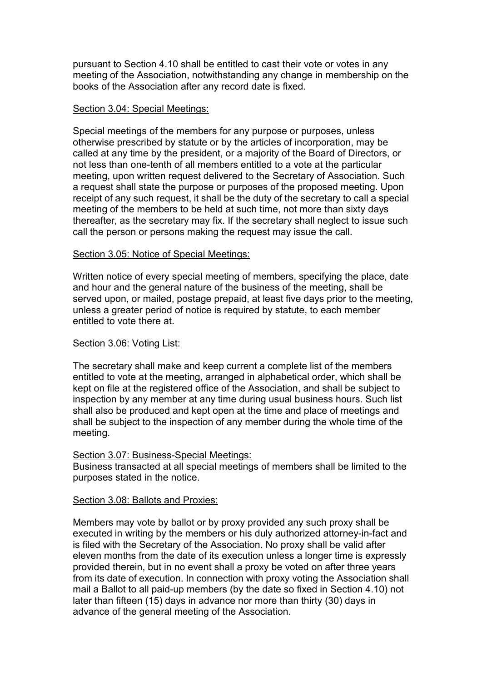pursuant to Section 4.10 shall be entitled to cast their vote or votes in any meeting of the Association, notwithstanding any change in membership on the books of the Association after any record date is fixed.

#### Section 3.04: Special Meetings:

Special meetings of the members for any purpose or purposes, unless otherwise prescribed by statute or by the articles of incorporation, may be called at any time by the president, or a majority of the Board of Directors, or not less than one-tenth of all members entitled to a vote at the particular meeting, upon written request delivered to the Secretary of Association. Such a request shall state the purpose or purposes of the proposed meeting. Upon receipt of any such request, it shall be the duty of the secretary to call a special meeting of the members to be held at such time, not more than sixty days thereafter, as the secretary may fix. If the secretary shall neglect to issue such call the person or persons making the request may issue the call.

### Section 3.05: Notice of Special Meetings:

Written notice of every special meeting of members, specifying the place, date and hour and the general nature of the business of the meeting, shall be served upon, or mailed, postage prepaid, at least five days prior to the meeting, unless a greater period of notice is required by statute, to each member entitled to vote there at.

### Section 3.06: Voting List:

The secretary shall make and keep current a complete list of the members entitled to vote at the meeting, arranged in alphabetical order, which shall be kept on file at the registered office of the Association, and shall be subject to inspection by any member at any time during usual business hours. Such list shall also be produced and kept open at the time and place of meetings and shall be subject to the inspection of any member during the whole time of the meeting.

#### Section 3.07: Business-Special Meetings:

Business transacted at all special meetings of members shall be limited to the purposes stated in the notice.

#### Section 3.08: Ballots and Proxies:

Members may vote by ballot or by proxy provided any such proxy shall be executed in writing by the members or his duly authorized attorney-in-fact and is filed with the Secretary of the Association. No proxy shall be valid after eleven months from the date of its execution unless a longer time is expressly provided therein, but in no event shall a proxy be voted on after three years from its date of execution. In connection with proxy voting the Association shall mail a Ballot to all paid-up members (by the date so fixed in Section 4.10) not later than fifteen (15) days in advance nor more than thirty (30) days in advance of the general meeting of the Association.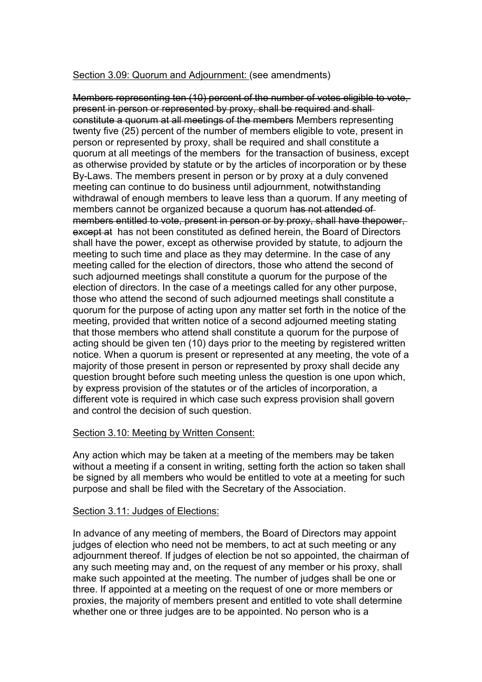### Section 3.09: Quorum and Adjournment: (see amendments)

Members representing ten (10) percent of the number of votes eligible to vote, present in person or represented by proxy, shall be required and shall constitute a quorum at all meetings of the members Members representing twenty five (25) percent of the number of members eligible to vote, present in person or represented by proxy, shall be required and shall constitute a quorum at all meetings of the members for the transaction of business, except as otherwise provided by statute or by the articles of incorporation or by these By-Laws. The members present in person or by proxy at a duly convened meeting can continue to do business until adjournment, notwithstanding withdrawal of enough members to leave less than a quorum. If any meeting of members cannot be organized because a quorum has not attended of members entitled to vote, present in person or by proxy, shall have thepower, except at has not been constituted as defined herein, the Board of Directors shall have the power, except as otherwise provided by statute, to adjourn the meeting to such time and place as they may determine. In the case of any meeting called for the election of directors, those who attend the second of such adjourned meetings shall constitute a quorum for the purpose of the election of directors. In the case of a meetings called for any other purpose, those who attend the second of such adjourned meetings shall constitute a quorum for the purpose of acting upon any matter set forth in the notice of the meeting, provided that written notice of a second adjourned meeting stating that those members who attend shall constitute a quorum for the purpose of acting should be given ten (10) days prior to the meeting by registered written notice. When a quorum is present or represented at any meeting, the vote of a majority of those present in person or represented by proxy shall decide any question brought before such meeting unless the question is one upon which, by express provision of the statutes or of the articles of incorporation, a different vote is required in which case such express provision shall govern and control the decision of such question.

### Section 3.10: Meeting by Written Consent:

Any action which may be taken at a meeting of the members may be taken without a meeting if a consent in writing, setting forth the action so taken shall be signed by all members who would be entitled to vote at a meeting for such purpose and shall be filed with the Secretary of the Association.

### Section 3.11: Judges of Elections:

In advance of any meeting of members, the Board of Directors may appoint judges of election who need not be members, to act at such meeting or any adjournment thereof. If judges of election be not so appointed, the chairman of any such meeting may and, on the request of any member or his proxy, shall make such appointed at the meeting. The number of judges shall be one or three. If appointed at a meeting on the request of one or more members or proxies, the majority of members present and entitled to vote shall determine whether one or three judges are to be appointed. No person who is a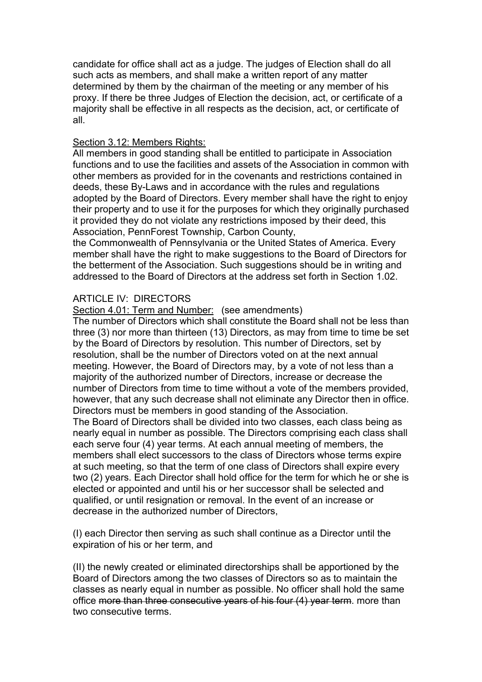candidate for office shall act as a judge. The judges of Election shall do all such acts as members, and shall make a written report of any matter determined by them by the chairman of the meeting or any member of his proxy. If there be three Judges of Election the decision, act, or certificate of a majority shall be effective in all respects as the decision, act, or certificate of all.

### Section 3.12: Members Rights:

All members in good standing shall be entitled to participate in Association functions and to use the facilities and assets of the Association in common with other members as provided for in the covenants and restrictions contained in deeds, these By-Laws and in accordance with the rules and regulations adopted by the Board of Directors. Every member shall have the right to enjoy their property and to use it for the purposes for which they originally purchased it provided they do not violate any restrictions imposed by their deed, this Association, PennForest Township, Carbon County,

the Commonwealth of Pennsylvania or the United States of America. Every member shall have the right to make suggestions to the Board of Directors for the betterment of the Association. Such suggestions should be in writing and addressed to the Board of Directors at the address set forth in Section 1.02.

## ARTICLE IV: DIRECTORS

Section 4.01: Term and Number: (see amendments)

The number of Directors which shall constitute the Board shall not be less than three (3) nor more than thirteen (13) Directors, as may from time to time be set by the Board of Directors by resolution. This number of Directors, set by resolution, shall be the number of Directors voted on at the next annual meeting. However, the Board of Directors may, by a vote of not less than a majority of the authorized number of Directors, increase or decrease the number of Directors from time to time without a vote of the members provided. however, that any such decrease shall not eliminate any Director then in office. Directors must be members in good standing of the Association.

The Board of Directors shall be divided into two classes, each class being as nearly equal in number as possible.The Directors comprising each class shall each serve four (4) year terms. At each annual meeting of members, the members shall elect successors to the class of Directors whose terms expire at such meeting, so that the term of one class of Directors shall expire every two (2) years. Each Director shall hold office for the term for which he or she is elected or appointed and until his or her successor shall be selected and qualified, or until resignation or removal. In the event of an increase or decrease in the authorized number of Directors,

(I) each Director then serving as such shall continue as a Director until the expiration of his or her term, and

(II) the newly created or eliminated directorships shall be apportioned by the Board of Directors among the two classes of Directors so as to maintain the classes as nearly equal in number as possible. No officer shall hold the same office more than three consecutive years of his four (4) year term. more than two consecutive terms.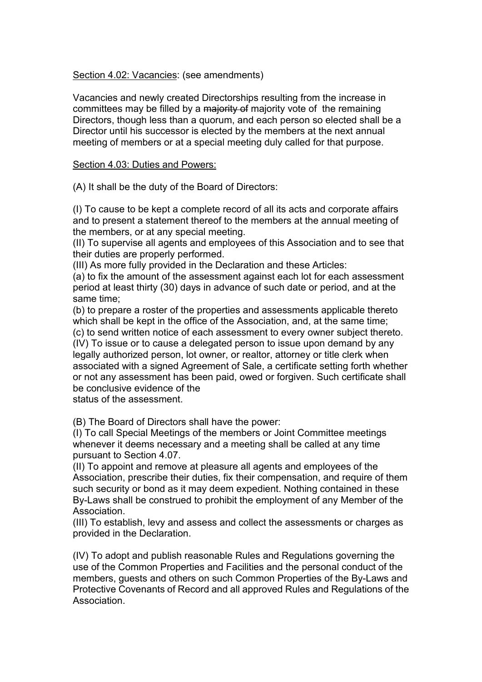Section 4.02: Vacancies: (see amendments)

Vacancies and newly created Directorships resulting from the increase in committees may be filled by a majority of majority vote of the remaining Directors, though less than a quorum, and each person so elected shall be a Director until his successor is elected by the members at the next annual meeting of members or at a special meeting duly called for that purpose.

### Section 4.03: Duties and Powers:

(A) It shall be the duty of the Board of Directors:

(I) To cause to be kept a complete record of all its acts and corporate affairs and to present a statement thereof to the members at the annual meeting of the members, or at any special meeting.

(II) To supervise all agents and employees of this Association and to see that their duties are properly performed.

(III) As more fully provided in the Declaration and these Articles:

(a) to fix the amount of the assessment against each lot for each assessment period at least thirty (30) days in advance of such date or period, and at the same time;

(b) to prepare a roster of the properties and assessments applicable thereto which shall be kept in the office of the Association, and, at the same time;

(c) to send written notice of each assessment to every owner subject thereto. (IV) To issue or to cause a delegated person to issue upon demand by any legally authorized person, lot owner, or realtor, attorney or title clerk when associated with a signed Agreement of Sale, a certificate setting forth whether or not any assessment has been paid, owed or forgiven. Such certificate shall be conclusive evidence of the

status of the assessment.

(B) The Board of Directors shall have the power:

(I) To call Special Meetings of the members or Joint Committee meetings whenever it deems necessary and a meeting shall be called at any time pursuant to Section 4.07.

(II) To appoint and remove at pleasure all agents and employees of the Association, prescribe their duties, fix their compensation, and require of them such security or bond as it may deem expedient. Nothing contained in these By-Laws shall be construed to prohibit the employment of any Member of the Association.

(III) To establish, levy and assess and collect the assessments or charges as provided in the Declaration.

(IV) To adopt and publish reasonable Rules and Regulations governing the use of the Common Properties and Facilities and the personal conduct of the members, guests and others on such Common Properties of the By-Laws and Protective Covenants of Record and all approved Rules and Regulations of the Association.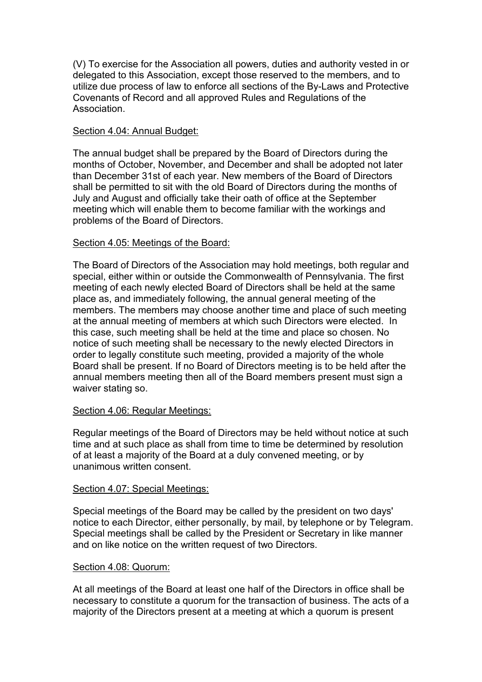(V) To exercise for the Association all powers, duties and authority vested in or delegated to this Association, except those reserved to the members, and to utilize due process of law to enforce all sections of the By-Laws and Protective Covenants of Record and all approved Rules and Regulations of the Association.

### Section 4.04: Annual Budget:

The annual budget shall be prepared by the Board of Directors during the months of October, November, and December and shall be adopted not later than December 31st of each year. New members of the Board of Directors shall be permitted to sit with the old Board of Directors during the months of July and August and officially take their oath of office at the September meeting which will enable them to become familiar with the workings and problems of the Board of Directors.

### Section 4.05: Meetings of the Board:

The Board of Directors of the Association may hold meetings, both regular and special, either within or outside the Commonwealth of Pennsylvania. The first meeting of each newly elected Board of Directors shall be held at the same place as, and immediately following, the annual general meeting of the members. The members may choose another time and place of such meeting at the annual meeting of members at which such Directors were elected. In this case, such meeting shall be held at the time and place so chosen. No notice of such meeting shall be necessary to the newly elected Directors in order to legally constitute such meeting, provided a majority of the whole Board shall be present. If no Board of Directors meeting is to be held after the annual members meeting then all of the Board members present must sign a waiver stating so.

### Section 4.06: Regular Meetings:

Regular meetings of the Board of Directors may be held without notice at such time and at such place as shall from time to time be determined by resolution of at least a majority of the Board at a duly convened meeting, or by unanimous written consent.

### Section 4.07: Special Meetings:

Special meetings of the Board may be called by the president on two days' notice to each Director, either personally, by mail, by telephone or by Telegram. Special meetings shall be called by the President or Secretary in like manner and on like notice on the written request of two Directors.

### Section 4.08: Quorum:

At all meetings of the Board at least one half of the Directors in office shall be necessary to constitute a quorum for the transaction of business. The acts of a majority of the Directors present at a meeting at which a quorum is present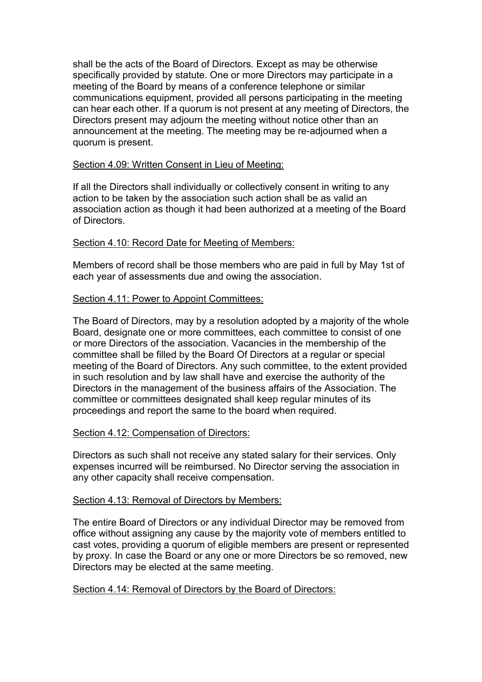shall be the acts of the Board of Directors. Except as may be otherwise specifically provided by statute. One or more Directors may participate in a meeting of the Board by means of a conference telephone or similar communications equipment, provided all persons participating in the meeting can hear each other. If a quorum is not present at any meeting of Directors, the Directors present may adjourn the meeting without notice other than an announcement at the meeting. The meeting may be re-adjourned when a quorum is present.

### Section 4.09: Written Consent in Lieu of Meeting:

If all the Directors shall individually or collectively consent in writing to any action to be taken by the association such action shall be as valid an association action as though it had been authorized at a meeting of the Board of Directors.

### Section 4.10: Record Date for Meeting of Members:

Members of record shall be those members who are paid in full by May 1st of each year of assessments due and owing the association.

### Section 4.11: Power to Appoint Committees:

The Board of Directors, may by a resolution adopted by a majority of the whole Board, designate one or more committees, each committee to consist of one or more Directors of the association. Vacancies in the membership of the committee shall be filled by the Board Of Directors at a regular or special meeting of the Board of Directors. Any such committee, to the extent provided in such resolution and by law shall have and exercise the authority of the Directors in the management of the business affairs of the Association. The committee or committees designated shall keep regular minutes of its proceedings and report the same to the board when required.

### Section 4.12: Compensation of Directors:

Directors as such shall not receive any stated salary for their services. Only expenses incurred will be reimbursed. No Director serving the association in any other capacity shall receive compensation.

### Section 4.13: Removal of Directors by Members:

The entire Board of Directors or any individual Director may be removed from office without assigning any cause by the majority vote of members entitled to cast votes, providing a quorum of eligible members are present or represented by proxy. In case the Board or any one or more Directors be so removed, new Directors may be elected at the same meeting.

### Section 4.14: Removal of Directors by the Board of Directors: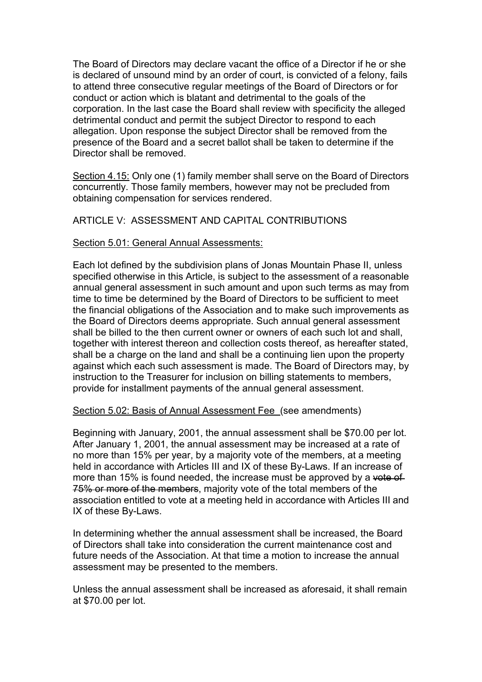The Board of Directors may declare vacant the office of a Director if he or she is declared of unsound mind by an order of court, is convicted of a felony, fails to attend three consecutive regular meetings of the Board of Directors or for conduct or action which is blatant and detrimental to the goals of the corporation. In the last case the Board shall review with specificity the alleged detrimental conduct and permit the subject Director to respond to each allegation. Upon response the subject Director shall be removed from the presence of the Board and a secret ballot shall be taken to determine if the Director shall be removed.

Section 4.15: Only one (1) family member shall serve on the Board of Directors concurrently. Those family members, however may not be precluded from obtaining compensation for services rendered.

### ARTICLE V: ASSESSMENT AND CAPITAL CONTRIBUTIONS

#### Section 5.01: General Annual Assessments:

Each lot defined by the subdivision plans of Jonas Mountain Phase II, unless specified otherwise in this Article, is subject to the assessment of a reasonable annual general assessment in such amount and upon such terms as may from time to time be determined by the Board of Directors to be sufficient to meet the financial obligations of the Association and to make such improvements as the Board of Directors deems appropriate. Such annual general assessment shall be billed to the then current owner or owners of each such lot and shall, together with interest thereon and collection costs thereof, as hereafter stated, shall be a charge on the land and shall be a continuing lien upon the property against which each such assessment is made. The Board of Directors may, by instruction to the Treasurer for inclusion on billing statements to members, provide for installment payments of the annual general assessment.

#### Section 5.02: Basis of Annual Assessment Fee (see amendments)

Beginning with January, 2001, the annual assessment shall be \$70.00 per lot. After January 1, 2001, the annual assessment may be increased at a rate of no more than 15% per year, by amajority vote of the members, at a meeting held in accordance with Articles III and IX of these By-Laws. If an increase of more than 15% is found needed, the increase must be approved by a vote of 75% or more of the members, majority vote of the total members of the association entitled to vote at a meeting held in accordance with Articles III and IX of these By-Laws.

In determining whether the annual assessment shall be increased, the Board of Directors shall take into consideration the current maintenance cost and future needs of the Association. At that time a motion to increase the annual assessment may be presented to the members.

Unless the annual assessment shall be increased as aforesaid, it shall remain at \$70.00 per lot.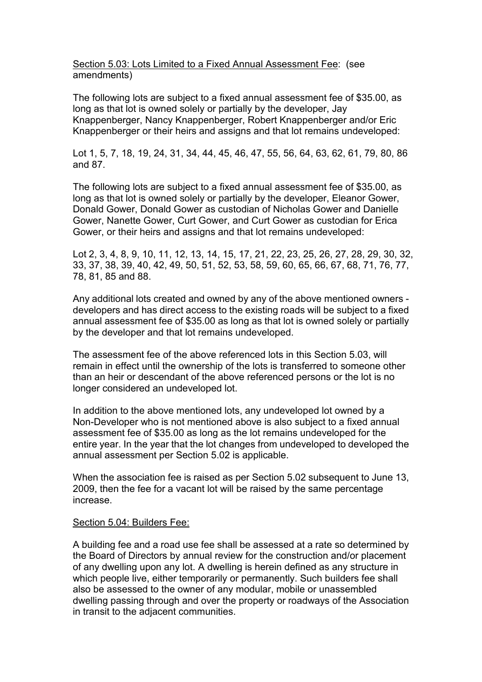Section 5.03: Lots Limited to a Fixed Annual Assessment Fee: (see amendments)

The following lots are subject to a fixed annual assessment fee of \$35.00, as long as that lot is owned solely or partially by the developer, Jay Knappenberger, Nancy Knappenberger, Robert Knappenberger and/or Eric Knappenberger or their heirs and assigns and that lot remains undeveloped:

Lot 1, 5, 7, 18, 19, 24, 31, 34, 44, 45, 46, 47, 55, 56, 64, 63, 62, 61, 79, 80, 86 and 87.

The following lots are subject to a fixed annual assessment fee of \$35.00, as long as that lot is owned solely or partially by the developer, Eleanor Gower, Donald Gower, Donald Gower as custodian of Nicholas Gowerand Danielle Gower, Nanette Gower, Curt Gower, and Curt Gower as custodian for Erica Gower, or their heirs and assigns and that lot remains undeveloped:

Lot 2, 3, 4, 8, 9, 10, 11, 12, 13, 14, 15, 17, 21, 22, 23, 25, 26, 27, 28, 29, 30, 32, 33, 37, 38, 39, 40, 42, 49, 50, 51, 52, 53, 58, 59, 60, 65, 66, 67, 68, 71, 76, 77, 78, 81, 85 and 88.

Any additional lots created and owned by any of the above mentioned owners developers and has direct access to the existing roads will be subject to a fixed annual assessment fee of \$35.00 as long as that lot is owned solely or partially by the developer and that lot remains undeveloped.

The assessment fee of the above referenced lots in this Section 5.03, will remain in effect until the ownership of the lots is transferred to someone other than an heir or descendant of the above referenced persons or the lot is no longer considered an undeveloped lot.

In addition to the above mentioned lots, any undeveloped lot owned by a Non-Developer who is not mentioned above is also subject to a fixed annual assessment fee of \$35.00 as long as the lot remains undeveloped for the entire year. In the year that the lot changes from undeveloped to developed the annual assessment per Section 5.02 is applicable.

When the association fee is raised as per Section 5.02 subsequent to June 13, 2009, then the fee for a vacant lot will be raised by the same percentage increase.

#### Section 5.04: Builders Fee:

A building fee and a road use fee shall be assessed at a rate so determined by the Board of Directors by annual review for the construction and/or placement of any dwelling upon any lot. A dwelling is herein defined as any structure in which people live, either temporarily or permanently. Such builders fee shall also be assessed to the owner of any modular, mobile or unassembled dwelling passing through and over the property or roadways of the Association in transit to the adjacent communities.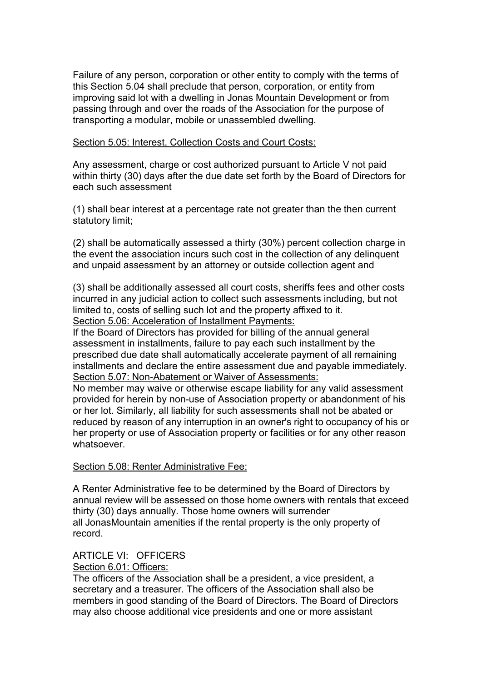Failure of any person, corporation or other entity to comply with the terms of this Section 5.04 shall preclude that person, corporation, or entity from improving said lot with a dwelling in Jonas Mountain Development or from passing through and over the roads of the Association for the purpose of transporting a modular, mobile or unassembled dwelling.

Section 5.05: Interest, Collection Costs and Court Costs:

Any assessment, charge or cost authorized pursuant to Article V not paid within thirty (30) days after the due date set forth by the Board of Directors for each such assessment

(1) shall bear interest at a percentage rate not greater than the then current statutory limit;

(2) shall be automatically assessed a thirty (30%) percent collection charge in the event the association incurs such cost in the collection of any delinquent and unpaid assessment by an attorney or outside collection agent and

(3) shall be additionally assessed all court costs, sheriffs fees and other costs incurred in any judicial action to collect such assessments including, but not limited to, costs of selling such lot and the property affixed to it. Section 5.06: Acceleration of Installment Payments:

If the Board of Directors has provided for billing of the annual general assessment in installments, failure to pay each such installment by the prescribed due date shall automatically accelerate payment of all remaining installments and declare the entire assessment due and payable immediately. Section 5.07: Non-Abatement or Waiver of Assessments:

No member may waive or otherwise escape liability for any valid assessment provided for herein by non-use of Association property or abandonment of his or her lot. Similarly, all liability for such assessments shall not be abated or reduced by reason of any interruption in an owner's right to occupancy of his or her property or use of Association property or facilities or for any other reason whatsoever.

### Section 5.08: Renter Administrative Fee:

A Renter Administrative fee to be determined by the Board of Directors by annual review will be assessed on those home owners with rentals that exceed thirty (30) days annually. Those home owners will surrender all JonasMountain amenities if the rental property is the only property of record.

# ARTICLE VI: OFFICERS

Section 6.01: Officers:

The officers of the Association shall be a president, a vice president, a secretary and a treasurer. The officers of the Association shall also be members in good standing of the Board of Directors. The Board of Directors may also choose additional vice presidents and one or more assistant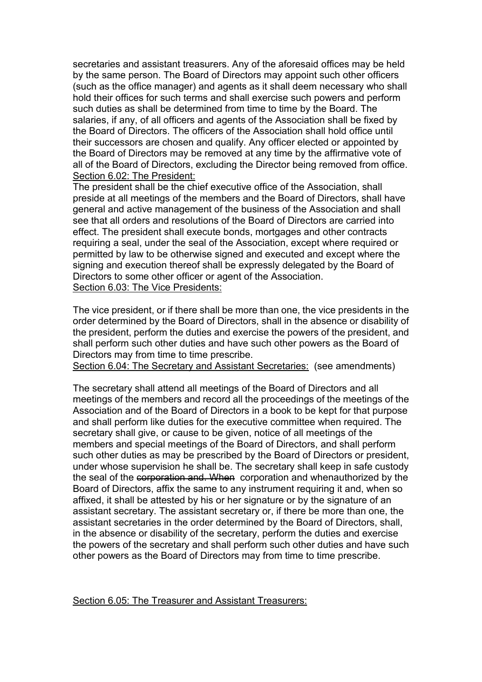secretaries and assistant treasurers. Any of the aforesaid offices may be held by the same person. The Board of Directors may appoint such other officers (such as the office manager) and agents as it shall deem necessary who shall hold their offices for such terms and shall exercise such powers and perform such duties as shall be determined from time to time by the Board. The salaries, if any, of all officers and agents of the Association shall be fixed by the Board of Directors. The officers of the Association shall hold office until their successors are chosen and qualify. Any officer elected or appointed by the Board of Directors may be removed at any time by the affirmative vote of all of the Board of Directors, excluding the Director being removed from office. Section 6.02: The President:

The president shall be the chief executive office of the Association, shall preside at all meetings of the members and the Board of Directors, shall have general and active management of the business of the Association and shall see that all orders and resolutions of the Board of Directors are carried into effect. The president shall execute bonds, mortgages and other contracts requiring a seal, under the seal of the Association, except where required or permitted by law to be otherwise signed and executed and except where the signing and execution thereof shall be expressly delegated by the Board of Directors to some other officer or agent of the Association. Section 6.03: The Vice Presidents:

The vice president, or if there shall be more than one, the vice presidents in the order determined by the Board of Directors, shall in the absence or disability of the president, perform the duties and exercise the powers of the president, and shall perform such other duties and have such other powers as the Board of Directors may from time to time prescribe.

Section 6.04: The Secretary and Assistant Secretaries: (see amendments)

The secretary shall attend all meetings of the Board of Directors and all meetings of the members and record all the proceedings of the meetings of the Association and of the Board of Directors in a book to be kept for that purpose and shall perform like duties for the executive committee when required. The secretary shall give, or cause to be given, notice of all meetings of the members and special meetings of the Board of Directors, and shall perform such other duties as may be prescribed by the Board of Directors or president, under whose supervision he shall be. The secretary shall keep in safe custody the seal of the corporation and. When corporation and whenauthorized by the Board of Directors, affix the same to any instrument requiring it and, when so affixed, it shall be attested by his or her signature or by the signature of an assistant secretary. The assistant secretary or, if there be more than one, the assistant secretaries in the order determined by the Board of Directors, shall, in the absence or disability of the secretary, perform the duties and exercise the powers of the secretary and shall perform such other duties and have such other powers as the Board of Directors may from time to time prescribe.

Section 6.05: The Treasurer and Assistant Treasurers: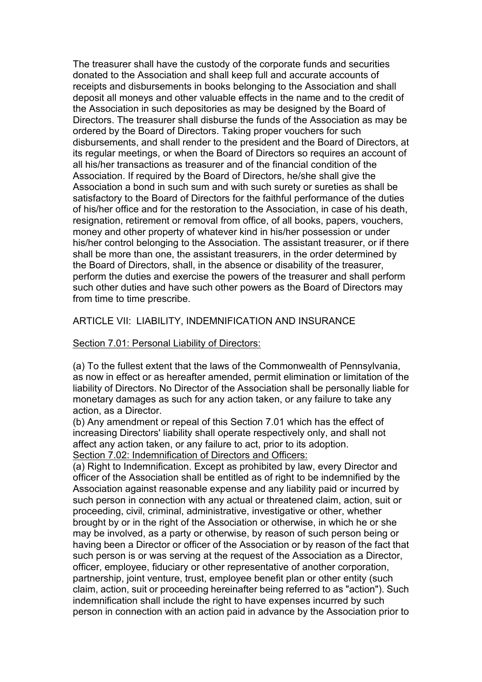The treasurer shall have the custody of the corporate funds and securities donated to the Association and shall keep full and accurate accounts of receipts and disbursements in books belonging to the Association and shall deposit all moneys and other valuable effects in the name and to the credit of the Association in such depositories as may be designed by the Board of Directors. The treasurer shall disburse the funds of the Association as may be ordered by the Board of Directors. Taking proper vouchers for such disbursements, and shall render to the president and the Board of Directors, at its regular meetings, or when the Board of Directors so requires an account of all his/her transactions as treasurer and of the financial condition of the Association. If required by the Board of Directors, he/she shall give the Association a bond in such sum and with such surety or sureties as shall be satisfactory to the Board of Directors for the faithful performance of the duties of his/her office and for the restoration to the Association, in case of his death, resignation, retirement or removal from office, of all books, papers, vouchers, money and other property of whatever kind in his/her possession or under his/her control belonging to the Association. The assistant treasurer, or if there shall be more than one, the assistant treasurers, in the order determined by the Board of Directors, shall, in the absence or disability of the treasurer, perform the duties and exercise the powers of the treasurer and shall perform such other duties and have such other powers as the Board of Directors may from time to time prescribe.

### ARTICLE VII: LIABILITY, INDEMNIFICATION AND INSURANCE

### Section 7.01: Personal Liability of Directors:

(a) To the fullest extent that the laws of the Commonwealth of Pennsylvania, as now in effect or as hereafter amended, permit elimination or limitation of the liability of Directors. No Director of the Association shall be personally liable for monetary damages as such for any action taken, or any failure to take any action, as a Director.

(b) Any amendment or repeal of this Section 7.01 which has the effect of increasing Directors' liability shall operate respectively only, and shall not affect any action taken, or any failure to act, prior to its adoption. Section 7.02: Indemnification of Directors and Officers:

(a) Right to Indemnification. Except as prohibited by law, every Director and officer of the Association shall be entitled as of right to be indemnified by the Association against reasonable expense and any liability paid or incurred by such person in connection with any actual or threatened claim, action, suit or proceeding, civil, criminal, administrative, investigative or other, whether brought by or in the right of the Association or otherwise, in which he or she may be involved, as a party or otherwise, by reason of such person being or having been a Director or officer of the Association or by reason of the fact that such person is or was serving at the request of the Association as a Director, officer, employee, fiduciary or other representative of another corporation, partnership, joint venture, trust, employee benefit plan or other entity (such claim, action, suit or proceeding hereinafter being referred to as "action"). Such indemnification shall include the right to have expenses incurred by such person in connection with an action paid in advance by the Association prior to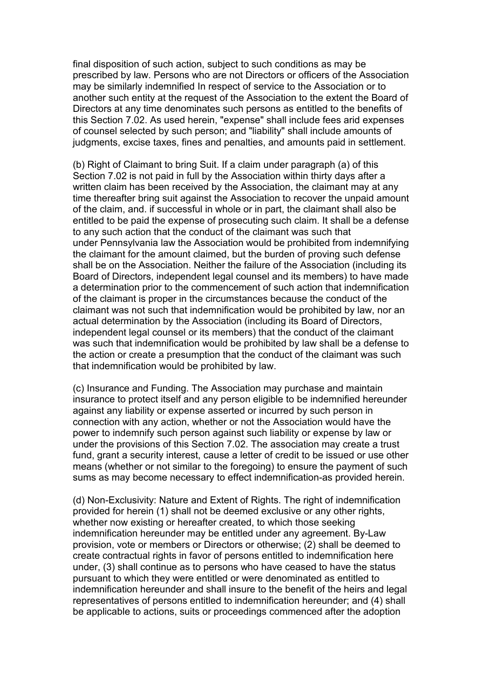final disposition of such action, subject to such conditions as may be prescribed by law. Persons who are not Directors or officers of the Association may be similarly indemnified In respect of service to the Association or to another such entity at the request of the Association to the extent the Board of Directors at any time denominates such persons as entitled to the benefits of this Section 7.02. As used herein, "expense" shall include fees arid expenses of counsel selected by such person; and "liability" shall include amounts of judgments, excise taxes, fines and penalties, and amounts paid in settlement.

(b) Right of Claimant to bring Suit. If a claim under paragraph (a) of this Section 7.02 is not paid in full by the Association within thirty days after a written claim has been received by the Association, the claimant may at any time thereafter bring suit against the Association to recover the unpaid amount of the claim, and, if successful in whole or in part, the claimant shall also be entitled to be paid the expense of prosecuting such claim. It shall be a defense to any such action that the conduct of the claimant was such that under Pennsylvania law the Association would be prohibited from indemnifying the claimant for the amount claimed, but the burden of proving such defense shall be on the Association. Neither the failure of the Association (including its Board of Directors, independent legal counsel and its members) to have made a determination prior to the commencement of such action that indemnification of the claimant is properin the circumstances because the conduct of the claimant was not such that indemnification would be prohibited by law, nor an actual determination by the Association (including its Board of Directors, independent legal counsel or its members) that the conduct of the claimant was such that indemnification would be prohibited by law shall be a defense to the action or create a presumption that the conduct of the claimant was such that indemnification would be prohibited by law.

(c) Insurance and Funding. The Association may purchase and maintain insurance to protect itself and any person eligible to be indemnified hereunder against any liability or expense asserted or incurred by such person in connection with any action, whether or not the Association would have the power to indemnify such person against such liability or expense by law or under the provisions of this Section 7.02. The association may create a trust fund, grant a security interest, cause a letter of credit to be issued or use other means (whether or not similar to the foregoing) to ensure the payment of such sums as may become necessary to effect indemnification-as provided herein.

(d) Non-Exclusivity: Nature and Extent of Rights. The right of indemnification provided for herein (1) shall not be deemed exclusive or any other rights, whether now existing or hereafter created, to which those seeking indemnification hereunder may be entitled under any agreement. By-Law provision, vote or members or Directors or otherwise; (2) shall be deemed to create contractual rights in favor of persons entitled to indemnification here under, (3) shall continue as to persons who have ceased to have the status pursuant to which they were entitled or were denominated as entitled to indemnification hereunder and shall insure to the benefit of the heirs and legal representatives of persons entitled to indemnification hereunder; and (4) shall be applicable to actions, suits or proceedings commenced after the adoption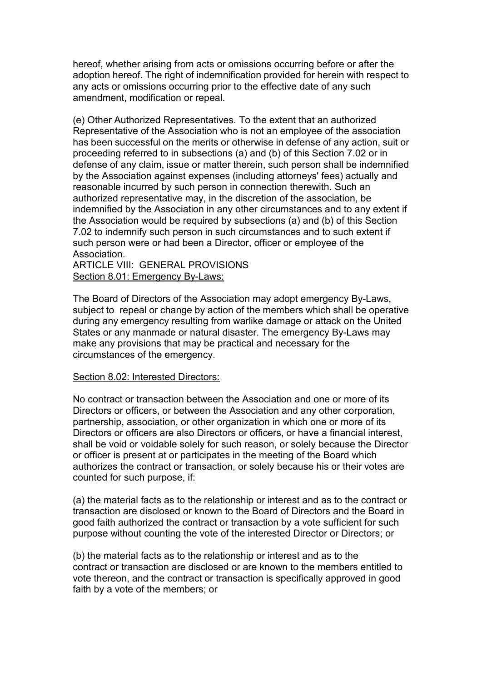hereof, whether arising from acts or omissions occurring before orafter the adoption hereof. The right of indemnification provided for herein with respect to any acts or omissions occurring prior to the effective date of any such amendment, modification or repeal.

(e) Other Authorized Representatives. To the extent that an authorized Representative of the Association who is not an employee of the association has been successful on the merits or otherwise in defense of any action, suit or proceeding referred to in subsections (a) and (b) of this Section 7.02 or in defense of any claim, issue or matter therein, such person shall be indemnified by the Association against expenses (including attorneys' fees) actually and reasonable incurred by such person in connection therewith. Such an authorized representative may, in the discretion of the association, be indemnified by the Association in any other circumstances and to any extent if the Association would be required by subsections (a) and (b) of this Section 7.02 to indemnify such person in such circumstances and to such extent if such person were or had been a Director, officer or employee of the **Association** 

ARTICLE VIII: GENERAL PROVISIONS Section 8.01: Emergency By-Laws:

The Board of Directors of the Association may adopt emergency By-Laws, subject to repeal or change by action of the members which shall be operative during any emergency resulting from warlike damage or attack on the United States or any manmade or natural disaster. The emergency By-Laws may make any provisions that may be practical and necessary for the circumstances of the emergency.

#### Section 8.02: Interested Directors:

No contract or transaction between the Association and one or more of its Directors or officers, or between the Association and any other corporation, partnership, association, or other organization in which one or more of its Directors or officers are also Directors or officers, or have a financial interest, shall be void or voidable solely for such reason, or solely because the Director or officer is present at or participates in the meeting of the Board which authorizes the contract or transaction, or solely because his or their votes are counted for such purpose, if:

(a) the material facts as to the relationship or interest and as to the contract or transaction are disclosed or known to the Board of Directors and the Board in good faith authorized the contract or transaction by a vote sufficient for such purpose without counting the vote of the interested Director or Directors; or

(b) the material facts as to the relationship or interest and as to the contract or transaction are disclosed or are known to the members entitled to vote thereon, and the contract or transaction is specifically approved in good faith by a vote of the members; or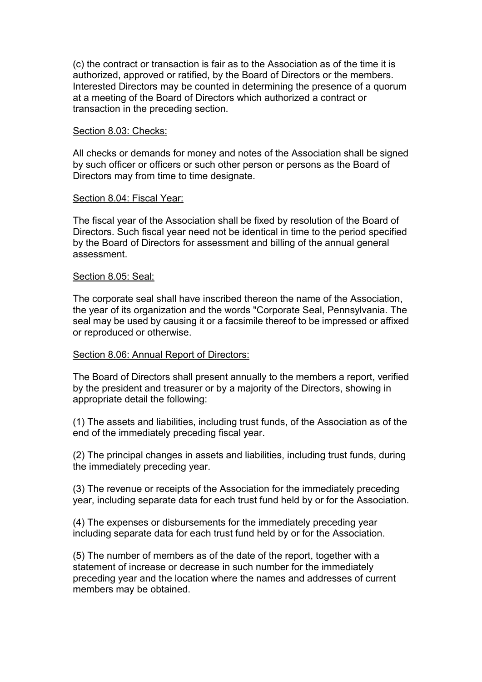(c) the contract or transaction is fair as to the Association as of the time it is authorized, approved or ratified, by the Board of Directors or the members. Interested Directors may be counted in determining the presence of a quorum at a meeting of the Board of Directors which authorized a contract or transaction in the preceding section.

### Section 8.03: Checks:

All checks or demands for money and notes of the Association shall be signed by such officer or officers or such other person or persons as the Board of Directors may from time to time designate.

#### Section 8.04: Fiscal Year:

The fiscal year of the Association shall be fixed by resolution of the Board of Directors. Such fiscal year need not be identical in time to the period specified by the Board of Directors for assessment and billing of the annual general assessment.

#### Section 8.05: Seal:

The corporate seal shall have inscribed thereon the name of the Association, the year of its organization and the words "Corporate Seal, Pennsylvania. The seal may be used by causing it or a facsimile thereof to be impressed or affixed or reproduced or otherwise.

### Section 8.06: Annual Report of Directors:

The Board of Directors shall present annually to the members a report, verified by the president and treasurer or by a majority of the Directors, showing in appropriate detail the following:

(1) The assets and liabilities, including trust funds, of the Association as of the end of the immediately preceding fiscal year.

(2) The principal changes in assets and liabilities, including trust funds, during the immediately preceding year.

(3) The revenue or receipts of the Association for the immediately preceding year, including separate data for each trust fund held by or for the Association.

(4) The expenses or disbursements for the immediately preceding year including separate data for each trust fund held by or for the Association.

(5) The number of members as of the date of the report, together with a statement of increase or decrease in such number for the immediately preceding year and the location where the names and addresses of current members may be obtained.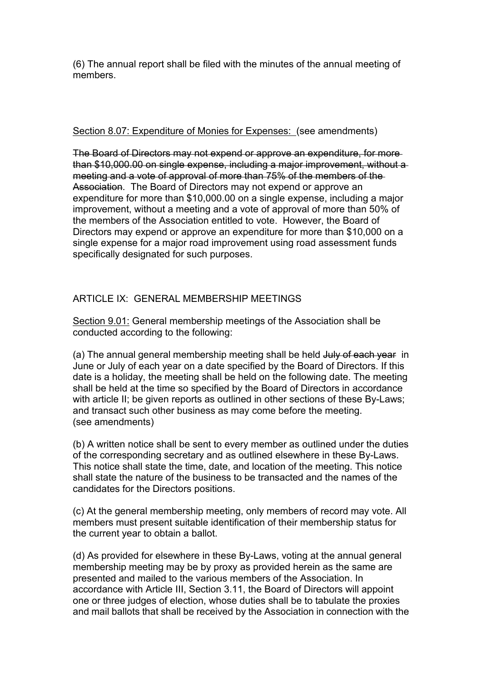(6) The annual report shall be filed with the minutes of the annual meeting of members.

## Section 8.07: Expenditure of Monies for Expenses: (see amendments)

The Board of Directors may not expend or approve an expenditure, for more than \$10,000.00 on single expense, including a major improvement, without a meeting and a vote of approval of more than 75% of the members of the Association. The Board of Directors may not expend or approve an expenditure for more than \$10,000.00 on a single expense, including a major improvement, without a meeting and a vote of approval of more than 50% of the members of the Association entitled to vote. However, the Board of Directors may expend or approve an expenditure for more than \$10,000 on a single expense for a major road improvement using road assessment funds specifically designated for such purposes.

# ARTICLE IX: GENERAL MEMBERSHIP MEETINGS

Section 9.01: General membership meetings of the Association shall be conducted according to the following:

(a) The annual general membership meeting shall be held July of each year in June or July of each year on a date specified by the Board of Directors. If this date is a holiday, the meeting shall be held on the following date. The meeting shall be held at the time so specified by the Board of Directors in accordance with article II; be given reports as outlined in other sections of these By-Laws; and transact such other business as may come before the meeting. (see amendments)

(b) A written notice shall be sent to every member as outlined under the duties of the corresponding secretary and as outlined elsewhere in these By-Laws. This notice shall state the time, date, and location of the meeting. This notice shall state the nature of the business to be transacted and the names of the candidates for the Directors positions.

(c) At the general membership meeting, only members of record may vote. All members must present suitable identification of their membership status for the current year to obtain a ballot.

(d) As provided for elsewhere in these By-Laws, voting at the annual general membership meeting may be by proxy as provided herein as the same are presented and mailed to the various members of the Association. In accordance with Article III, Section 3.11, the Board of Directors will appoint one or three judges of election, whose duties shall be to tabulate the proxies and mail ballots that shall be received by the Association in connection with the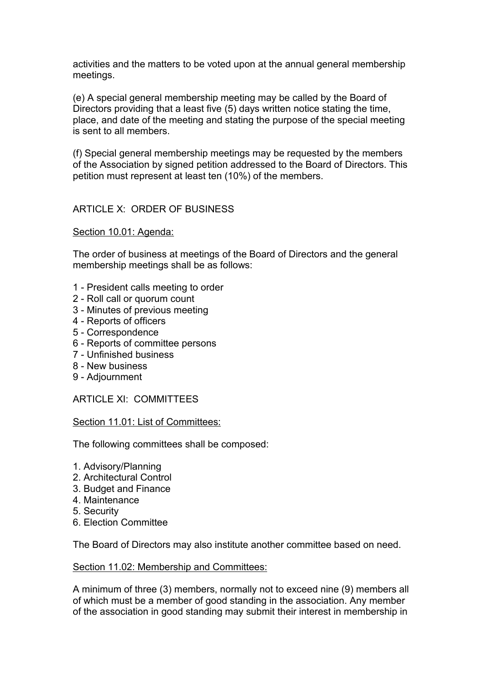activities and the matters to be voted upon at the annual general membership meetings.

(e) A special general membership meeting may be called by the Board of Directors providing that a least five (5) days written notice stating the time, place, and date of the meeting and stating the purpose of the special meeting is sent to all members.

(f) Special general membership meetings may be requested by the members of the Association by signed petition addressed to the Board of Directors. This petition must represent at least ten (10%) of the members.

## ARTICLE X: ORDER OF BUSINESS

Section 10.01: Agenda:

The order of business at meetings of the Board of Directors and the general membership meetings shall be as follows:

- 1 President calls meeting to order
- 2 Roll call or quorum count
- 3 Minutes of previous meeting
- 4 Reports of officers
- 5 Correspondence
- 6 Reports of committee persons
- 7 Unfinished business
- 8 New business
- 9 Adjournment

ARTICLE XI: COMMITTEES

#### Section 11.01: List of Committees:

The following committees shall be composed:

- 1. Advisory/Planning
- 2. Architectural Control
- 3. Budget and Finance
- 4. Maintenance
- 5. Security
- 6. Election Committee

The Board of Directors may also institute another committee based on need.

#### Section 11.02: Membership and Committees:

A minimum of three (3) members, normally not to exceed nine (9) members all of which must be a member of good standing in the association. Any member of the association in good standing may submit their interest in membership in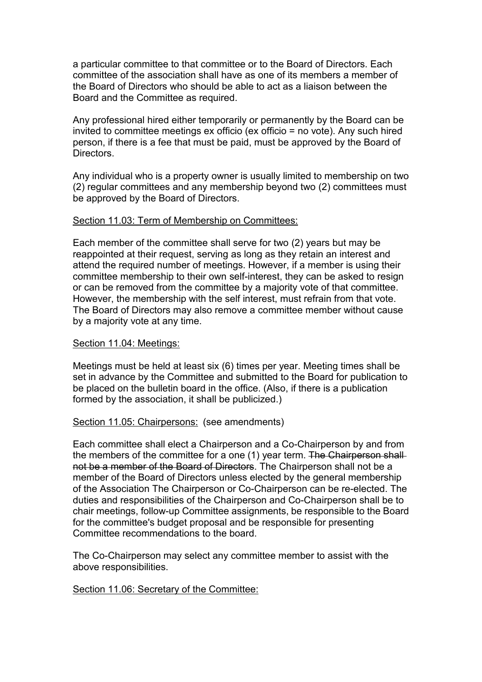a particular committee to that committee or to the Board of Directors. Each committee of the association shall have as one of its members a member of the Board of Directors who should be able to act as a liaison between the Board and the Committee as required.<br>Any professional hired either temporarily or permanently by the Board can be

invited to committee meetings ex officio (ex officio = no vote). Any such hired person, if there is a fee that must be paid, must be approved by the Board of Directors.

Any individual who is a property owner is usually limited to membership on two (2) regular committees and any membership beyond two (2) committees must be approved by the Board of Directors.

#### Section 11.03: Term of Membership on Committees:

Each member of the committee shall serve for two (2) years but may be reappointed at their request, serving as long as they retain an interest and attend the required number of meetings. However, if a member is using their committee membership to their own self-interest, they can be asked to resign or can be removed from the committee by a majority vote of that committee. However, the membership with the self interest, must refrain from that vote. The Board of Directors may also remove a committee member without cause by a majority vote at any time.

### Section 11.04: Meetings:

Meetings must be held at least six (6) times per year. Meeting times shall be set in advance by the Committee and submitted to the Board for publication to be placed on the bulletin board in the office. (Also, if there is a publication formed by the association, it shall be publicized.)

#### Section 11.05: Chairpersons: (see amendments)

Each committee shall elect a Chairperson and a Co-Chairperson by and from the members of the committee for a one (1) year term. The Chairperson shallnot be a member of the Board of Directors. The Chairperson shall not be a member of the Board of Directors unless elected by the general membership of the Association The Chairperson or Co-Chairperson can be re-elected. The duties and responsibilities of the Chairperson and Co-Chairperson shall be to chair meetings, follow-up Committee assignments, be responsible to the Board for the committee's budget proposal and be responsible for presenting Committee recommendations to the board.

The Co-Chairperson may select any committee member to assist with the above responsibilities.

Section 11.06: Secretary of the Committee: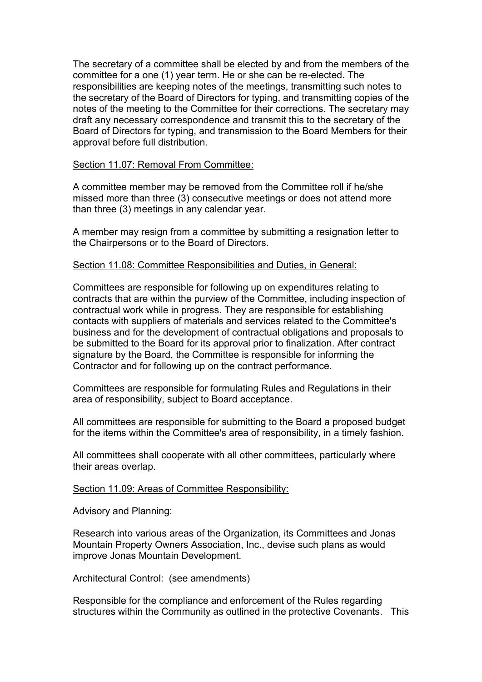The secretary of a committee shall be elected by and from the members of the committee for a one (1) year term. He or she can be re-elected. The responsibilities are keeping notes of the meetings, transmitting such notes to the secretary of the Board of Directors for typing, and transmitting copies of the notes of the meeting to the Committee for their corrections. The secretary may draft any necessary correspondence and transmit this to the secretary of the Board of Directors for typing, and transmission to the Board Members for their approval before full distribution.

#### Section 11.07: Removal From Committee:

A committee member may be removed from the Committee roll if he/she missed more than three (3) consecutive meetings or does not attend more than three (3) meetings in any calendar year.

A member may resign from a committee by submitting a resignation letter to the Chairpersons or to the Board of Directors.

### Section 11.08: Committee Responsibilities and Duties, in General:

Committees are responsible for following up on expenditures relating to contracts that are within the purview of the Committee, including inspection of contractual work while in progress. They are responsible for establishing contacts with suppliers of materials and services related to the Committee's business and for the development of contractual obligations and proposals to be submitted to the Board for its approval prior to finalization. After contract signature by the Board, the Committee is responsible for informing the Contractor and for following up on the contract performance.

Committees are responsible for formulating Rules and Regulations in their area of responsibility, subject to Board acceptance.

All committees are responsible for submitting to the Board a proposed budget for the items within the Committee's area of responsibility, in a timely fashion.

All committees shall cooperate with all other committees, particularly where their areas overlap.

#### Section 11.09: Areas of Committee Responsibility:

Advisory and Planning:

Research into various areas of the Organization, its Committees and Jonas Mountain Property Owners Association, Inc., devise such plans as would improve Jonas Mountain Development.

Architectural Control: (see amendments)

Responsible for the compliance and enforcement of the Rules regarding structures within the Community as outlined in the protective Covenants. This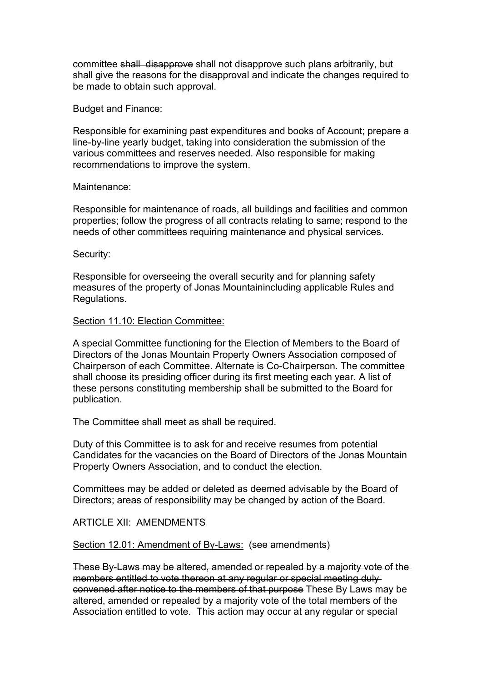committee shall disapprove shall not disapprove such plans arbitrarily, but shall give the reasons for the disapproval and indicate the changes required to be made to obtain such approval.

Budget and Finance:

Responsible for examining past expenditures and books of Account; prepare a line-by-line yearly budget, taking into consideration the submission of the various committees and reserves needed. Also responsible for making recommendations to improve the system.

#### Maintenance:

Responsible for maintenance of roads, all buildings and facilities and common properties; follow the progress of all contracts relating to same; respond to the needs of other committees requiring maintenance and physical services.

Security:

Responsible for overseeing the overall security and for planning safety measures of the property of Jonas Mountainincluding applicable Rules and Regulations.

#### Section 11.10: Election Committee:

A special Committee functioning for the Election of Members to the Board of Directors of the Jonas Mountain Property Owners Association composed of Chairperson of each Committee. Alternate is Co-Chairperson. The committee shall choose its presiding officer during its first meeting each year. A list of these persons constituting membership shall be submitted to the Board for publication.

The Committee shall meet as shall be required.

Duty of this Committee is to ask for and receive resumes from potential Candidates for the vacancies on the Board of Directors of the Jonas Mountain Property Owners Association, and to conduct the election.

Committees may be added or deleted as deemed advisable by the Board of Directors; areas of responsibility may be changed by action of the Board.

### ARTICLE XII: AMENDMENTS

#### Section 12.01: Amendment of By-Laws: (see amendments)

These By-Laws may be altered, amended or repealed by a majority vote of the members entitled to vote thereon at any regular or special meeting duly convened after notice to the members of that purpose These By Laws may be altered, amended or repealed by a majority vote of the total members of the Association entitled to vote. This action may occur at any regular or special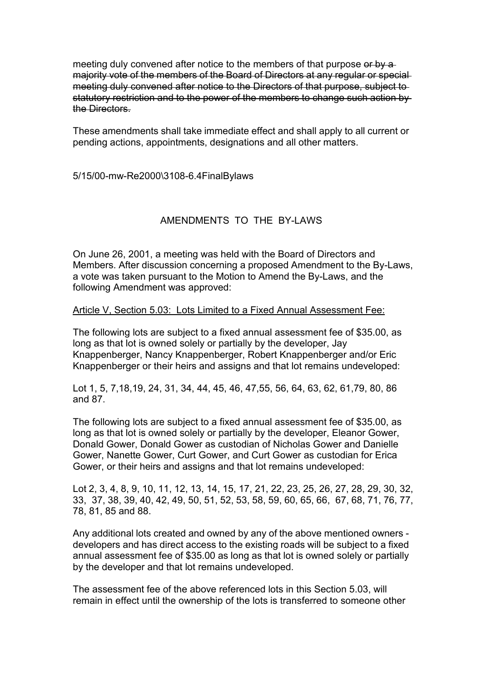meeting duly convened after notice to the members of that purpose or by a majority vote of the members of the Board of Directors at any regular or special meeting duly convened after notice to the Directors of that purpose, subject to statutory restriction and to the power of the members to change such action by the Directors.

These amendments shall take immediate effect and shall apply to all current or pending actions, appointments, designations and all other matters.

5/15/00-mw-Re2000\3108-6.4FinalBylaws

## AMENDMENTS TO THE BY-LAWS

On June 26, 2001, a meeting was held with the Board of Directors and Members. After discussion concerning a proposed Amendment to the By-Laws, a vote was taken pursuant to the Motion to Amend the By-Laws, and the following Amendment was approved:

### Article V, Section 5.03: Lots Limited to a Fixed Annual Assessment Fee:

The following lots are subject to a fixed annual assessment fee of \$35.00, as long as that lot is owned solely or partially by the developer, Jay Knappenberger, Nancy Knappenberger, Robert Knappenberger and/or Eric Knappenberger or their heirs and assigns and that lot remains undeveloped:

Lot 1, 5, 7,18,19, 24, 31, 34, 44, 45, 46, 47,55, 56, 64, 63, 62, 61,79, 80, 86 and 87.

The following lots are subject to a fixed annual assessment fee of \$35.00, as long as that lot is owned solely or partially by the developer, Eleanor Gower, Donald Gower, Donald Gower as custodian of Nicholas Gowerand Danielle Gower, Nanette Gower, Curt Gower, and Curt Gower as custodian for Erica Gower, or their heirs and assigns and that lot remains undeveloped:

Lot 2, 3, 4, 8, 9, 10, 11, 12, 13, 14, 15, 17, 21, 22, 23, 25, 26, 27, 28, 29, 30, 32, 33, 37, 38, 39, 40, 42, 49, 50, 51, 52, 53, 58, 59, 60, 65, 66, 67, 68, 71, 76, 77, 78, 81, 85 and 88.

Any additional lots created and owned by any of the above mentioned owners developers and has direct access to the existing roads will be subject to a fixed annual assessment fee of \$35.00 as long as that lot is owned solely or partially by the developer and that lot remains undeveloped.

The assessment fee of the above referenced lots in this Section 5.03, will remain in effect until the ownership of the lots is transferred to someone other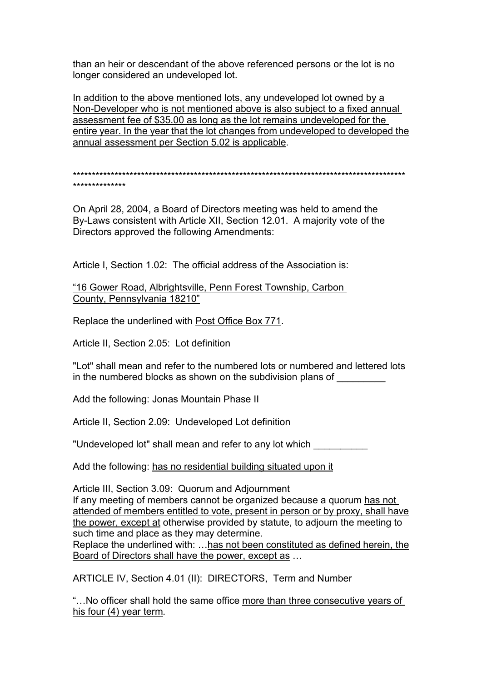than an heir or descendant of the above referenced persons or the lot is no longer considered an undeveloped lot.

In addition to the above mentioned lots, any undeveloped lot owned by a Non-Developer who is not mentioned above is also subject to a fixed annual assessment fee of \$35.00 as long as the lot remains undeveloped for the entire year. In the year that the lot changes from undeveloped to developed the annual assessment per Section 5.02 is applicable.

\*\*\*\*\*\*\*\*\*\*\*\*\*\*\*\*\*\*\*\*\*\*\*\*\*\*\*\*\*\*\*\*\*\*\*\*\*\*\*\*\*\*\*\*\*\*\*\*\*\*\*\*\*\*\*\*\*\*\*\*\*\*\*\*\*\*\*\*\*\*\*\*\*\*\*\*\*\*\*\*\*\*\*\*\*\*\*\* \*\*\*\*\*\*\*\*\*\*\*\*\*\*

On April 28, 2004, a Board of Directors meeting was held to amend the By-Laws consistent with Article XII, Section 12.01. A majority vote of the Directors approved the following Amendments:

Article I, Section 1.02: The official address of the Association is:

"16 Gower Road, Albrightsville, Penn Forest Township, Carbon County, Pennsylvania 18210"

Replace the underlined with Post Office Box 771.

Article II, Section 2.05: Lot definition

"Lot" shall mean and refer to the numbered lots or numbered and lettered lots in the numbered blocks as shown on the subdivision plans of

Add the following: Jonas Mountain Phase II

Article II, Section 2.09: Undeveloped Lot definition

"Undeveloped lot" shall mean and refer to any lot which

Add the following: has no residential building situated upon it

Article III, Section 3.09: Quorum and Adjournment If any meeting of members cannot be organized because a quorum has not attended of members entitled to vote, present in person or by proxy, shall have the power, except at otherwise provided by statute, to adjourn the meeting to such time and place as they may determine.

Replace the underlined with: …has not been constituted as defined herein, the Board of Directors shall have the power, except as …

ARTICLE IV, Section 4.01 (II): DIRECTORS, Term and Number

"…No officer shall hold the same office more than three consecutive years of his four (4) year term*.*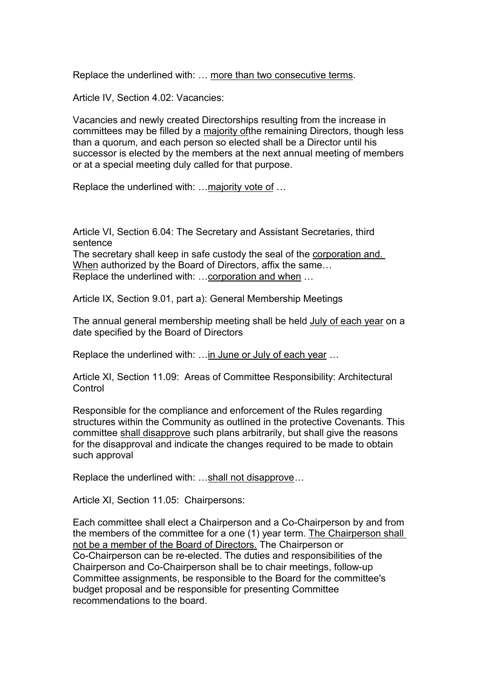Replace the underlined with: … more than two consecutive terms.

Article IV, Section 4.02: Vacancies:

Vacancies and newly created Directorships resulting from the increase in committees may be filled by a majority ofthe remaining Directors, though less than a quorum, and each person so elected shall be a Director until his successor is elected by the members at the next annual meeting of members or at a special meeting duly called for that purpose.

Replace the underlined with: …majority vote of …

Article VI, Section 6.04: The Secretary and Assistant Secretaries, third sentence The secretary shall keep in safe custody the seal of the corporation and. When authorized by the Board of Directors, affix the same… Replace the underlined with: …corporation and when …

Article IX, Section 9.01, part a): General Membership Meetings

The annual general membership meeting shall be held July of each year on a date specified by the Board of Directors

Replace the underlined with: ... in June or July of each year ...

Article XI, Section 11.09: Areas of Committee Responsibility: Architectural **Control** 

Responsible for the compliance and enforcement of the Rules regarding structures within the Community as outlined in the protective Covenants.This committee shall disapprove such plans arbitrarily, but shall give the reasons for the disapproval and indicate the changes required to be made to obtain such approval

Replace the underlined with: …shall not disapprove*…*

Article XI, Section 11.05: Chairpersons:

Each committee shall elect a Chairperson and a Co-Chairperson by and from the members of the committee for a one (1) year term. The Chairperson shall not be a member of the Board of Directors. The Chairperson or Co-Chairperson can be re-elected. The duties and responsibilities of the Chairperson and Co-Chairperson shall be to chair meetings, follow-up Committee assignments, be responsible to the Board for the committee's budget proposal and be responsible for presenting Committee recommendations to the board.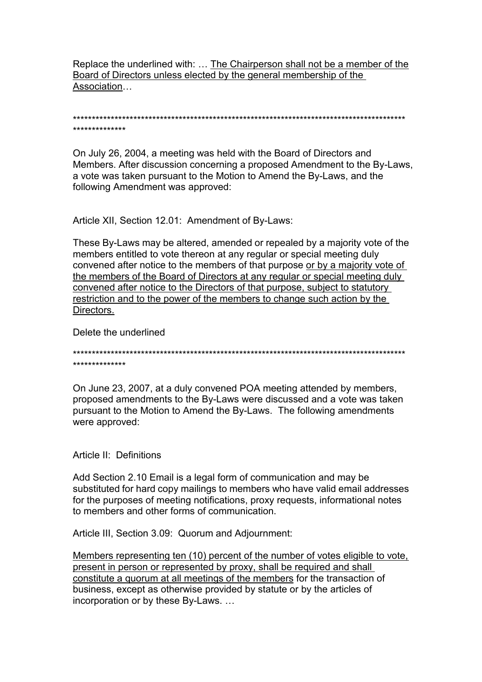Replace the underlined with: … The Chairperson shall not be a member of the Board of Directors unless elected by the general membership of the Association…

\*\*\*\*\*\*\*\*\*\*\*\*\*\*\*\*\*\*\*\*\*\*\*\*\*\*\*\*\*\*\*\*\*\*\*\*\*\*\*\*\*\*\*\*\*\*\*\*\*\*\*\*\*\*\*\*\*\*\*\*\*\*\*\*\*\*\*\*\*\*\*\*\*\*\*\*\*\*\*\*\*\*\*\*\*\*\*\* \*\*\*\*\*\*\*\*\*\*\*\*\*\*

On July 26, 2004, a meeting was held with the Board of Directors and Members. After discussion concerning a proposed Amendment to the By-Laws, a vote was taken pursuant to the Motion to Amend the By-Laws, and the following Amendment was approved:

Article XII, Section 12.01: Amendment of By-Laws:

These By-Laws may be altered, amended or repealed by a majority vote of the members entitled to vote thereon at any regular or special meeting duly convened after notice to the members of that purpose or by a majority vote of the members of the Board of Directors at any regular or special meeting duly convened after notice to the Directors of that purpose, subject to statutory restriction and to the power of the members to change such action by the Directors.

Delete the underlined

\*\*\*\*\*\*\*\*\*\*\*\*\*\*\*\*\*\*\*\*\*\*\*\*\*\*\*\*\*\*\*\*\*\*\*\*\*\*\*\*\*\*\*\*\*\*\*\*\*\*\*\*\*\*\*\*\*\*\*\*\*\*\*\*\*\*\*\*\*\*\*\*\*\*\*\*\*\*\*\*\*\*\*\*\*\*\*\* \*\*\*\*\*\*\*\*\*\*\*\*\*\*

On June 23, 2007, at a duly convened POA meeting attended by members, proposed amendments to the By-Laws were discussed and a vote was taken pursuant to the Motion to Amend the By-Laws. The following amendments were approved:

Article II: Definitions

Add Section 2.10 Email is a legal form of communication and may be substituted for hard copy mailings to members who have valid email addresses for the purposes of meeting notifications, proxy requests, informational notes to members and other forms of communication.

Article III, Section 3.09: Quorum and Adjournment:

Members representing ten (10) percent of the number of votes eligible to vote, present in person or represented by proxy, shall be required and shall constitute a quorum at all meetings of the members for the transaction of business, except as otherwise provided by statute or by the articles of incorporation or by these By-Laws. …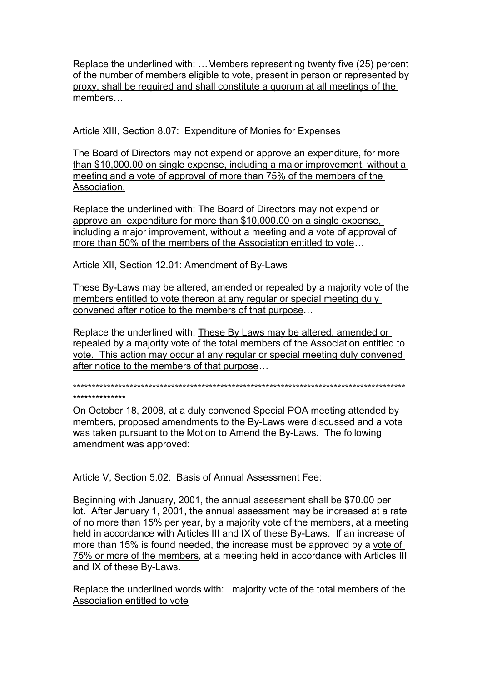Replace the underlined with: …Members representing twenty five (25) percent of the number of members eligible to vote, present in person or represented by proxy, shall be required and shall constitute a quorum at all meetings of the members…

Article XIII, Section 8.07: Expenditure of Monies for Expenses

The Board of Directors may not expend or approve an expenditure, for more than \$10,000.00 on single expense, including a major improvement, without a meeting and a vote of approval of more than 75% of the members of the Association.

Replace the underlined with: The Board of Directors may not expend or approve an expenditure for more than \$10,000.00 on a single expense, including a major improvement, without a meeting and a vote of approval of more than 50% of the members of the Association entitled to vote*…*

Article XII, Section 12.01: Amendment of By-Laws

These By-Laws may be altered, amended or repealed by a majority vote of the members entitled to vote thereon at any regular or special meeting duly convened after notice to the members of that purpose…

Replace the underlined with: These By Laws may be altered, amended or repealed by a majority vote of the total members of the Association entitled to vote. This action may occur at any regular or special meeting duly convened after notice to the members of that purpose*…*

\*\*\*\*\*\*\*\*\*\*\*\*\*\*\*\*\*\*\*\*\*\*\*\*\*\*\*\*\*\*\*\*\*\*\*\*\*\*\*\*\*\*\*\*\*\*\*\*\*\*\*\*\*\*\*\*\*\*\*\*\*\*\*\*\*\*\*\*\*\*\*\*\*\*\*\*\*\*\*\*\*\*\*\*\*\*\*\*

\*\*\*\*\*\*\*\*\*\*\*\*\*\*

On October 18, 2008, at a duly convened Special POA meeting attended by members, proposed amendments to the By-Laws were discussed and a vote was taken pursuant to the Motion to Amend the By-Laws. The following amendment was approved:

### Article V, Section 5.02: Basis of Annual Assessment Fee:

Beginning with January, 2001, the annual assessment shall be \$70.00 per lot. After January 1, 2001, the annual assessment may be increased at a rate of no more than 15% per year, by amajority vote of the members, at a meeting held in accordance with Articles III and IX of these By-Laws. If an increase of more than 15% is found needed, the increase must be approved by a vote of 75% or more of the members, at a meeting held in accordance with Articles III and IX of these By-Laws.

Replace the underlined words with: majority vote of the total members of the Association entitled to vote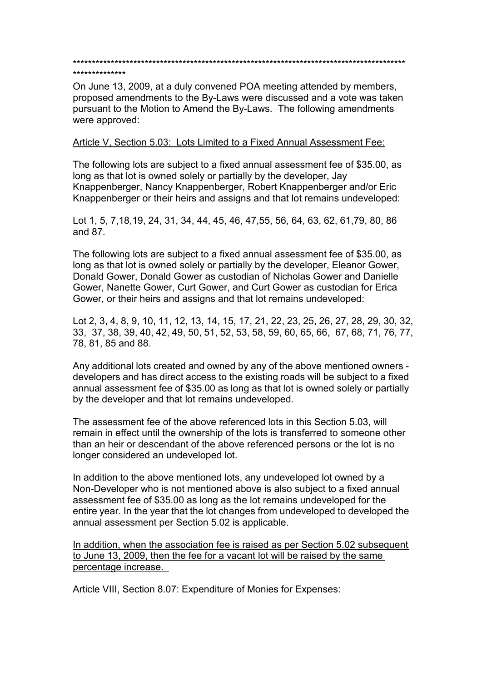\*\*\*\*\*\*\*\*\*\*\*\*\*\*\*\*\*\*\*\*\*\*\*\*\*\*\*\*\*\*\*\*\*\*\*\*\*\*\*\*\*\*\*\*\*\*\*\*\*\*\*\*\*\*\*\*\*\*\*\*\*\*\*\*\*\*\*\*\*\*\*\*\*\*\*\*\*\*\*\*\*\*\*\*\*\*\*\* \*\*\*\*\*\*\*\*\*\*\*\*\*\*

On June 13, 2009, at a duly convened POA meeting attended by members, proposed amendments to the By-Laws were discussed and a vote was taken pursuant to the Motion to Amend the By-Laws. The following amendments were approved:

### Article V, Section 5.03: Lots Limited to a Fixed Annual Assessment Fee:

The following lots are subject to a fixed annual assessment fee of \$35.00, as long as that lot is owned solely or partially by the developer, Jay Knappenberger, Nancy Knappenberger, Robert Knappenberger and/or Eric Knappenberger or their heirs and assigns and that lot remains undeveloped:

Lot 1, 5, 7,18,19, 24, 31, 34, 44, 45, 46, 47,55, 56, 64, 63, 62, 61,79, 80, 86 and 87.

The following lots are subject to a fixed annual assessment fee of \$35.00, as long as that lot is owned solely or partially by the developer, Eleanor Gower, Donald Gower, Donald Gower as custodian of Nicholas Gowerand Danielle Gower, Nanette Gower, Curt Gower, and Curt Gower as custodian for Erica Gower, or their heirs and assigns and that lot remains undeveloped:

Lot 2, 3, 4, 8, 9, 10, 11, 12, 13, 14, 15, 17, 21, 22, 23, 25, 26, 27, 28, 29, 30, 32, 33, 37, 38, 39, 40, 42, 49, 50, 51, 52, 53, 58, 59, 60, 65, 66, 67, 68, 71, 76, 77, 78, 81, 85 and 88.

Any additional lots created and owned by any of the above mentioned owners developers and has direct access to the existing roads will be subject to a fixed annual assessment fee of \$35.00 as long as that lot is owned solely or partially by the developer and that lot remains undeveloped.

The assessment fee of the above referenced lots in this Section 5.03, will remain in effect until the ownership of the lots is transferred to someone other than an heir or descendant of the above referenced persons or the lot is no longer considered an undeveloped lot.

In addition to the above mentioned lots, any undeveloped lot owned by a Non-Developer who is not mentioned above is also subject to a fixed annual assessment fee of \$35.00 as long as the lot remains undeveloped for the entire year. In the year that the lot changes from undeveloped to developed the annual assessment per Section 5.02 is applicable.

In addition, when the association fee is raised as per Section 5.02 subsequent to June 13, 2009, then the fee for a vacant lot will be raised by the same percentage increase.

Article VIII, Section 8.07: Expenditure of Monies for Expenses: